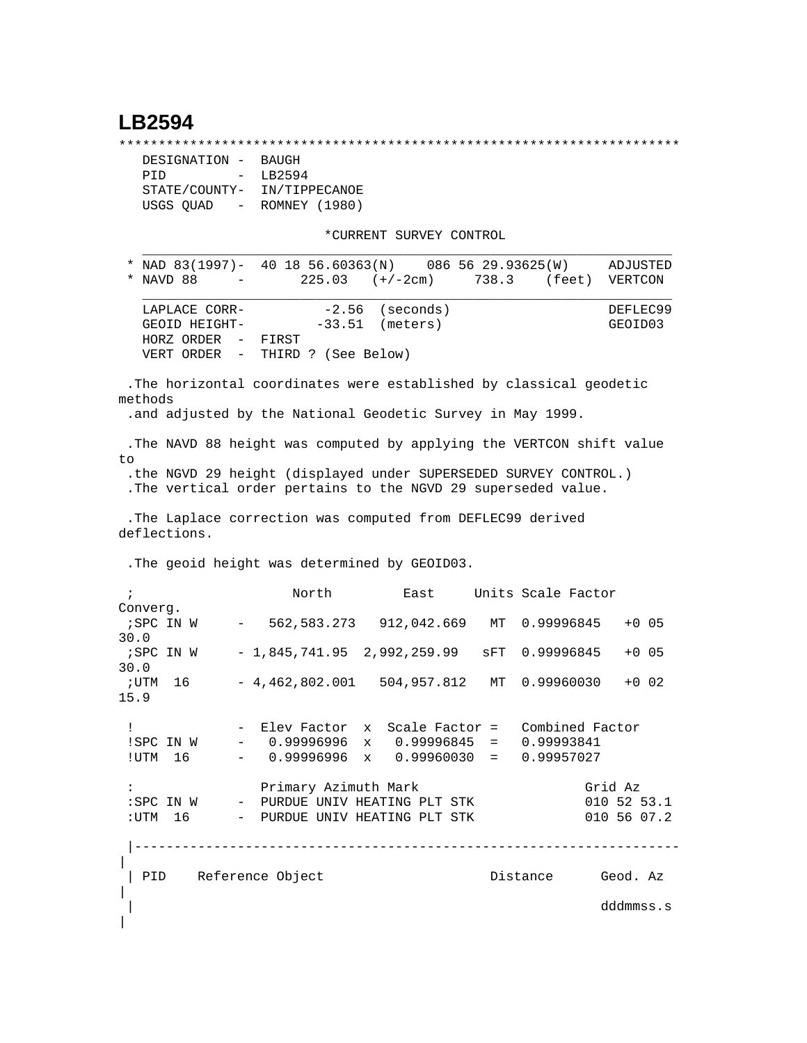# **LB2594**

\*\*\*\*\*\*\*\*\*\*\*\*\*\*\*\*\*\*\*\*\*\*\*\*\*\*\*\*\*\*\*\*\*\*\*\*\*\*\*\*\*\*\*\*\*\*\*\*\*\*\*\*\*\*\*\*\*\*\*\*\*\*\*\*\*\*\*\*\*\*\*

```
 DESIGNATION - BAUGH
PID - LB2594
STATE/COUNTY- IN/TIPPECANOE
USGS QUAD - ROMNEY (1980)
```
\*CURRENT SURVEY CONTROL

 \* NAD 83(1997)- 40 18 56.60363(N) 086 56 29.93625(W) ADJUSTED \* NAVD 88 - 225.03 (+/-2cm) 738.3 (feet) VERTCON  $\mathcal{L} = \{ \mathcal{L} = \{ \mathcal{L} \mid \mathcal{L} = \{ \mathcal{L} \mid \mathcal{L} = \{ \mathcal{L} \mid \mathcal{L} = \{ \mathcal{L} \mid \mathcal{L} = \{ \mathcal{L} \mid \mathcal{L} = \{ \mathcal{L} \mid \mathcal{L} = \{ \mathcal{L} \mid \mathcal{L} = \{ \mathcal{L} \mid \mathcal{L} = \{ \mathcal{L} \mid \mathcal{L} = \{ \mathcal{L} \mid \mathcal{L} = \{ \mathcal{L} \mid \mathcal{L} = \{ \mathcal{L} \mid \mathcal{L} =$ LAPLACE CORR-  $-2.56$  (seconds) DEFLEC99 GEOID HEIGHT- -33.51 (meters) GEOID03 HORZ ORDER - FIRST VERT ORDER - THIRD ? (See Below)

 $\mathcal{L} = \{ \mathcal{L} = \{ \mathcal{L} \} \cup \{ \mathcal{L} \} \cup \{ \mathcal{L} \} \cup \{ \mathcal{L} \} \cup \{ \mathcal{L} \} \cup \{ \mathcal{L} \} \cup \{ \mathcal{L} \} \cup \{ \mathcal{L} \} \cup \{ \mathcal{L} \} \cup \{ \mathcal{L} \} \cup \{ \mathcal{L} \} \cup \{ \mathcal{L} \} \cup \{ \mathcal{L} \} \cup \{ \mathcal{L} \} \cup \{ \mathcal{L} \} \cup \{ \mathcal{L} \} \cup \{ \mathcal{L} \} \cup$ 

 .The horizontal coordinates were established by classical geodetic methods .and adjusted by the National Geodetic Survey in May 1999. .The NAVD 88 height was computed by applying the VERTCON shift value to

 .the NGVD 29 height (displayed under SUPERSEDED SURVEY CONTROL.) .The vertical order pertains to the NGVD 29 superseded value.

 .The Laplace correction was computed from DEFLEC99 derived deflections.

.The geoid height was determined by GEOID03.

 ; North East Units Scale Factor Converg. ;SPC IN W - 562,583.273 912,042.669 MT 0.99996845 +0 05 30.0 ;SPC IN W - 1,845,741.95 2,992,259.99 sFT 0.99996845 +0 05 30.0 ;UTM 16 - 4,462,802.001 504,957.812 MT 0.99960030 +0 02 15.9 ! - Elev Factor x Scale Factor = Combined Factor !SPC IN W - 0.99996996 x 0.99996845 = 0.99993841 !UTM 16 - 0.99996996 x 0.99960030 = 0.99957027 : Primary Azimuth Mark Grid Az :SPC IN W - PURDUE UNIV HEATING PLT STK 010 52 53.1 :UTM 16 - PURDUE UNIV HEATING PLT STK 010 56 07.2 |--------------------------------------------------------------------- | | PID Reference Object | Distance Geod. Az  $\overline{ }$ | dddmmss.s  $\overline{\phantom{a}}$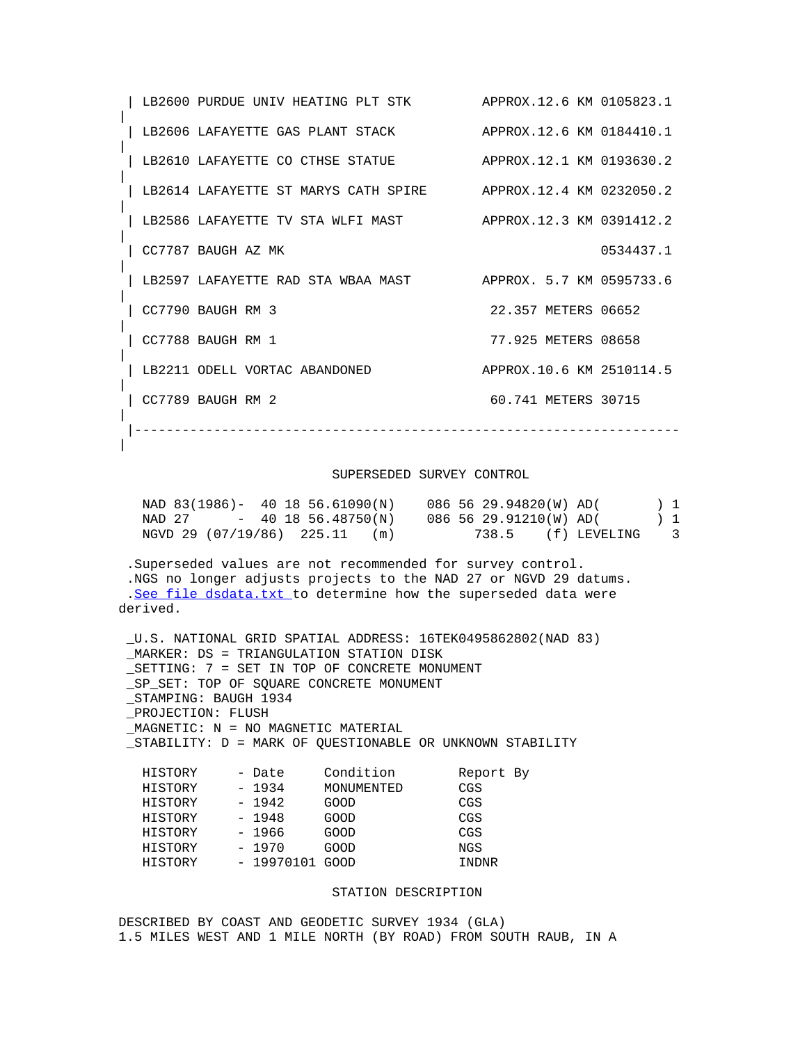|  | LB2600 PURDUE UNIV HEATING PLT STK   | APPROX.12.6 KM 0105823.1 |           |
|--|--------------------------------------|--------------------------|-----------|
|  | LB2606 LAFAYETTE GAS PLANT STACK     | APPROX.12.6 KM 0184410.1 |           |
|  | LB2610 LAFAYETTE CO CTHSE STATUE     | APPROX.12.1 KM 0193630.2 |           |
|  | LB2614 LAFAYETTE ST MARYS CATH SPIRE | APPROX.12.4 KM 0232050.2 |           |
|  | LB2586 LAFAYETTE TV STA WLFI MAST    | APPROX.12.3 KM 0391412.2 |           |
|  | CC7787 BAUGH AZ MK                   |                          | 0534437.1 |
|  | LB2597 LAFAYETTE RAD STA WBAA MAST   | APPROX, 5.7 KM 0595733.6 |           |
|  | CC7790 BAUGH RM 3                    | 22.357 METERS 06652      |           |
|  | CC7788 BAUGH RM 1                    | 77.925 METERS 08658      |           |
|  | LB2211 ODELL VORTAC ABANDONED        | APPROX.10.6 KM 2510114.5 |           |
|  | CC7789 BAUGH RM 2                    | 60.741 METERS 30715      |           |
|  |                                      |                          |           |

|

### SUPERSEDED SURVEY CONTROL

| NAD 83(1986)- 40 18 56.61090(N) |                      |     | 086 56 29.94820(W) AD( |              | $1 \quad$               |
|---------------------------------|----------------------|-----|------------------------|--------------|-------------------------|
| NAD 27                          | $-40$ 18 56.48750(N) |     | 086 56 29.91210(W) AD( |              | $1 \quad$               |
| NGVD 29 (07/19/86) 225.11       |                      | (m) | 738.5                  | (f) LEVELING | $\overline{\mathbf{3}}$ |

 .Superseded values are not recommended for survey control. .NGS no longer adjusts projects to the NAD 27 or NGVD 29 datums. .[See file dsdata.txt](http://www.ngs.noaa.gov/cgi-bin/ds_lookup.prl?Item=HOW_SUP_DET) to determine how the superseded data were derived.

|                                         |                         |                                              | _U.S. NATIONAL GRID SPATIAL ADDRESS: 16TEK0495862802(NAD 83) |  |  |  |
|-----------------------------------------|-------------------------|----------------------------------------------|--------------------------------------------------------------|--|--|--|
|                                         |                         | MARKER: DS = TRIANGULATION STATION DISK      |                                                              |  |  |  |
|                                         |                         | SETTING: 7 = SET IN TOP OF CONCRETE MONUMENT |                                                              |  |  |  |
| SP SET: TOP OF SOUARE CONCRETE MONUMENT |                         |                                              |                                                              |  |  |  |
| STAMPING: BAUGH 1934                    |                         |                                              |                                                              |  |  |  |
| PROJECTION: FLUSH                       |                         |                                              |                                                              |  |  |  |
| MAGNETIC: N = NO MAGNETIC MATERIAL      |                         |                                              |                                                              |  |  |  |
|                                         |                         |                                              | STABILITY: D = MARK OF OUESTIONABLE OR UNKNOWN STABILITY     |  |  |  |
|                                         |                         |                                              |                                                              |  |  |  |
|                                         | HISTORY - Date          | Condition                                    | Report By                                                    |  |  |  |
| HISTORY                                 | $-1934$                 | MONUMENTED                                   | CGS                                                          |  |  |  |
|                                         | HISTORY - 1942 GOOD     |                                              | CGS                                                          |  |  |  |
| HISTORY                                 | - 1948                  | GOOD                                         | CGS                                                          |  |  |  |
| HISTORY                                 | - 1966                  | GOOD                                         | CGS                                                          |  |  |  |
| HISTORY                                 | $-1970$                 | GOOD                                         | NGS                                                          |  |  |  |
|                                         | HISTORY - 19970101 GOOD |                                              | INDNR                                                        |  |  |  |
|                                         |                         |                                              |                                                              |  |  |  |

#### STATION DESCRIPTION

DESCRIBED BY COAST AND GEODETIC SURVEY 1934 (GLA) 1.5 MILES WEST AND 1 MILE NORTH (BY ROAD) FROM SOUTH RAUB, IN A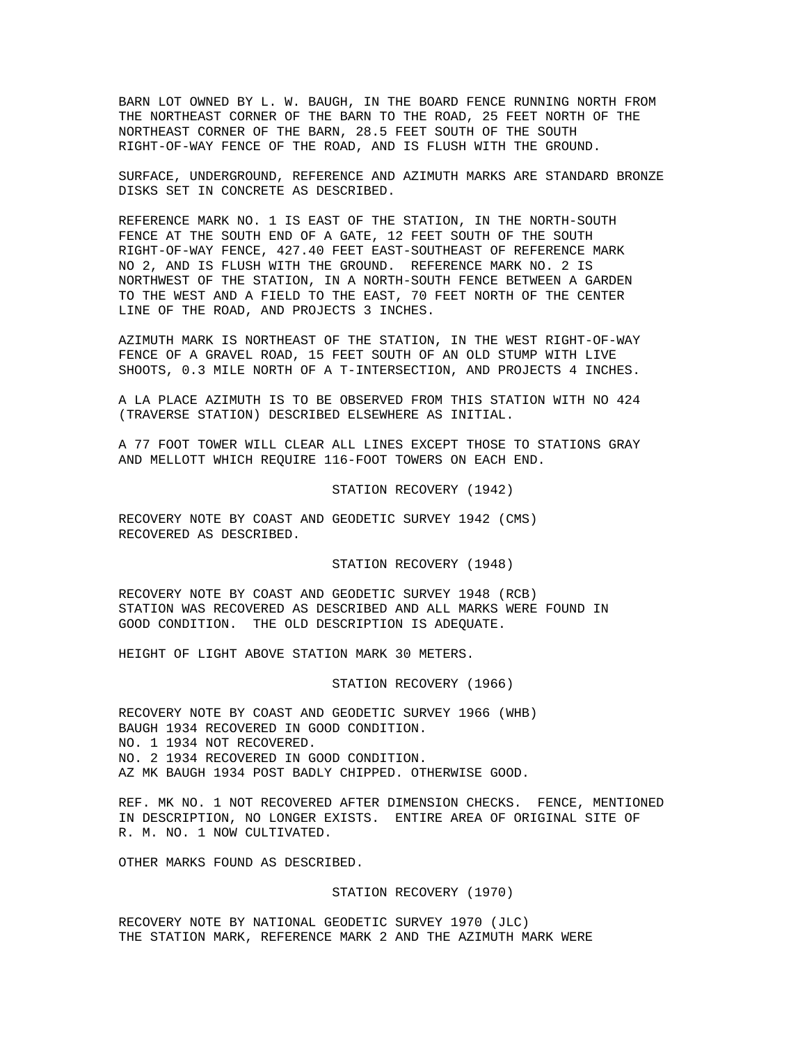BARN LOT OWNED BY L. W. BAUGH, IN THE BOARD FENCE RUNNING NORTH FROM THE NORTHEAST CORNER OF THE BARN TO THE ROAD, 25 FEET NORTH OF THE NORTHEAST CORNER OF THE BARN, 28.5 FEET SOUTH OF THE SOUTH RIGHT-OF-WAY FENCE OF THE ROAD, AND IS FLUSH WITH THE GROUND.

SURFACE, UNDERGROUND, REFERENCE AND AZIMUTH MARKS ARE STANDARD BRONZE DISKS SET IN CONCRETE AS DESCRIBED.

REFERENCE MARK NO. 1 IS EAST OF THE STATION, IN THE NORTH-SOUTH FENCE AT THE SOUTH END OF A GATE, 12 FEET SOUTH OF THE SOUTH RIGHT-OF-WAY FENCE, 427.40 FEET EAST-SOUTHEAST OF REFERENCE MARK NO 2, AND IS FLUSH WITH THE GROUND. REFERENCE MARK NO. 2 IS NORTHWEST OF THE STATION, IN A NORTH-SOUTH FENCE BETWEEN A GARDEN TO THE WEST AND A FIELD TO THE EAST, 70 FEET NORTH OF THE CENTER LINE OF THE ROAD, AND PROJECTS 3 INCHES.

AZIMUTH MARK IS NORTHEAST OF THE STATION, IN THE WEST RIGHT-OF-WAY FENCE OF A GRAVEL ROAD, 15 FEET SOUTH OF AN OLD STUMP WITH LIVE SHOOTS, 0.3 MILE NORTH OF A T-INTERSECTION, AND PROJECTS 4 INCHES.

A LA PLACE AZIMUTH IS TO BE OBSERVED FROM THIS STATION WITH NO 424 (TRAVERSE STATION) DESCRIBED ELSEWHERE AS INITIAL.

A 77 FOOT TOWER WILL CLEAR ALL LINES EXCEPT THOSE TO STATIONS GRAY AND MELLOTT WHICH REQUIRE 116-FOOT TOWERS ON EACH END.

STATION RECOVERY (1942)

RECOVERY NOTE BY COAST AND GEODETIC SURVEY 1942 (CMS) RECOVERED AS DESCRIBED.

STATION RECOVERY (1948)

RECOVERY NOTE BY COAST AND GEODETIC SURVEY 1948 (RCB) STATION WAS RECOVERED AS DESCRIBED AND ALL MARKS WERE FOUND IN GOOD CONDITION. THE OLD DESCRIPTION IS ADEQUATE.

HEIGHT OF LIGHT ABOVE STATION MARK 30 METERS.

STATION RECOVERY (1966)

RECOVERY NOTE BY COAST AND GEODETIC SURVEY 1966 (WHB) BAUGH 1934 RECOVERED IN GOOD CONDITION. NO. 1 1934 NOT RECOVERED. NO. 2 1934 RECOVERED IN GOOD CONDITION. AZ MK BAUGH 1934 POST BADLY CHIPPED. OTHERWISE GOOD.

REF. MK NO. 1 NOT RECOVERED AFTER DIMENSION CHECKS. FENCE, MENTIONED IN DESCRIPTION, NO LONGER EXISTS. ENTIRE AREA OF ORIGINAL SITE OF R. M. NO. 1 NOW CULTIVATED.

OTHER MARKS FOUND AS DESCRIBED.

STATION RECOVERY (1970)

RECOVERY NOTE BY NATIONAL GEODETIC SURVEY 1970 (JLC) THE STATION MARK, REFERENCE MARK 2 AND THE AZIMUTH MARK WERE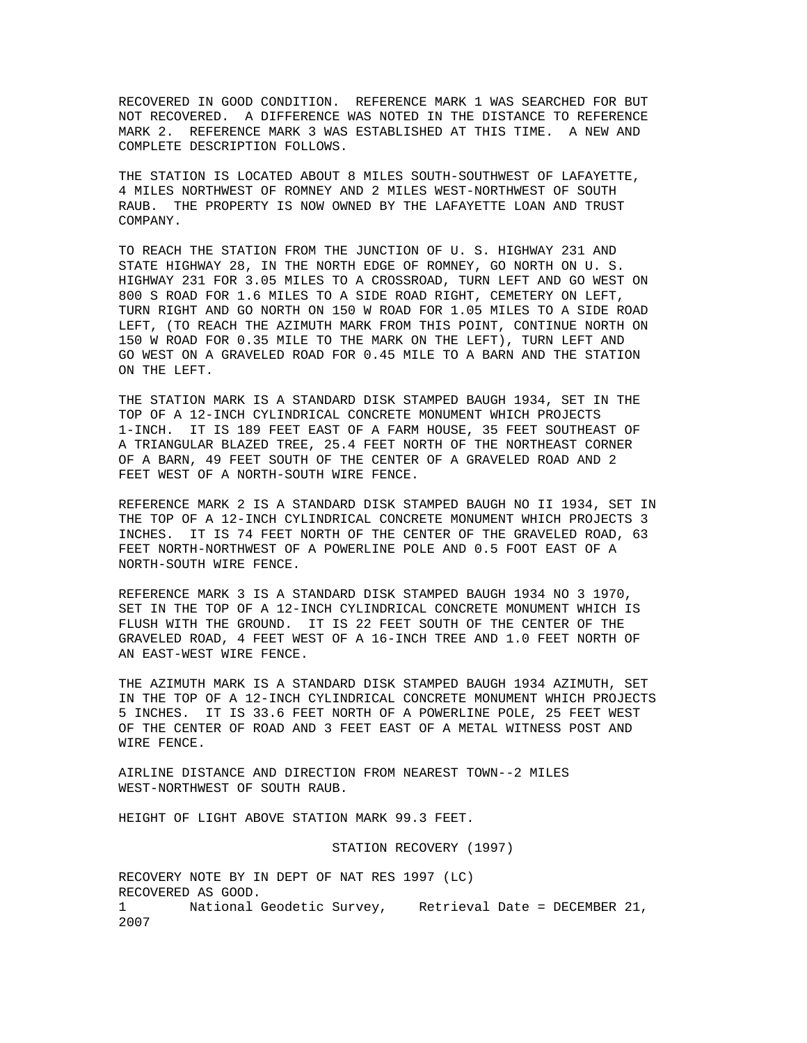RECOVERED IN GOOD CONDITION. REFERENCE MARK 1 WAS SEARCHED FOR BUT NOT RECOVERED. A DIFFERENCE WAS NOTED IN THE DISTANCE TO REFERENCE MARK 2. REFERENCE MARK 3 WAS ESTABLISHED AT THIS TIME. A NEW AND COMPLETE DESCRIPTION FOLLOWS.

THE STATION IS LOCATED ABOUT 8 MILES SOUTH-SOUTHWEST OF LAFAYETTE, 4 MILES NORTHWEST OF ROMNEY AND 2 MILES WEST-NORTHWEST OF SOUTH RAUB. THE PROPERTY IS NOW OWNED BY THE LAFAYETTE LOAN AND TRUST COMPANY.

TO REACH THE STATION FROM THE JUNCTION OF U. S. HIGHWAY 231 AND STATE HIGHWAY 28, IN THE NORTH EDGE OF ROMNEY, GO NORTH ON U. S. HIGHWAY 231 FOR 3.05 MILES TO A CROSSROAD, TURN LEFT AND GO WEST ON 800 S ROAD FOR 1.6 MILES TO A SIDE ROAD RIGHT, CEMETERY ON LEFT, TURN RIGHT AND GO NORTH ON 150 W ROAD FOR 1.05 MILES TO A SIDE ROAD LEFT, (TO REACH THE AZIMUTH MARK FROM THIS POINT, CONTINUE NORTH ON 150 W ROAD FOR 0.35 MILE TO THE MARK ON THE LEFT), TURN LEFT AND GO WEST ON A GRAVELED ROAD FOR 0.45 MILE TO A BARN AND THE STATION ON THE LEFT.

THE STATION MARK IS A STANDARD DISK STAMPED BAUGH 1934, SET IN THE TOP OF A 12-INCH CYLINDRICAL CONCRETE MONUMENT WHICH PROJECTS 1-INCH. IT IS 189 FEET EAST OF A FARM HOUSE, 35 FEET SOUTHEAST OF A TRIANGULAR BLAZED TREE, 25.4 FEET NORTH OF THE NORTHEAST CORNER OF A BARN, 49 FEET SOUTH OF THE CENTER OF A GRAVELED ROAD AND 2 FEET WEST OF A NORTH-SOUTH WIRE FENCE.

REFERENCE MARK 2 IS A STANDARD DISK STAMPED BAUGH NO II 1934, SET IN THE TOP OF A 12-INCH CYLINDRICAL CONCRETE MONUMENT WHICH PROJECTS 3 INCHES. IT IS 74 FEET NORTH OF THE CENTER OF THE GRAVELED ROAD, 63 FEET NORTH-NORTHWEST OF A POWERLINE POLE AND 0.5 FOOT EAST OF A NORTH-SOUTH WIRE FENCE.

REFERENCE MARK 3 IS A STANDARD DISK STAMPED BAUGH 1934 NO 3 1970, SET IN THE TOP OF A 12-INCH CYLINDRICAL CONCRETE MONUMENT WHICH IS FLUSH WITH THE GROUND. IT IS 22 FEET SOUTH OF THE CENTER OF THE GRAVELED ROAD, 4 FEET WEST OF A 16-INCH TREE AND 1.0 FEET NORTH OF AN EAST-WEST WIRE FENCE.

THE AZIMUTH MARK IS A STANDARD DISK STAMPED BAUGH 1934 AZIMUTH, SET IN THE TOP OF A 12-INCH CYLINDRICAL CONCRETE MONUMENT WHICH PROJECTS 5 INCHES. IT IS 33.6 FEET NORTH OF A POWERLINE POLE, 25 FEET WEST OF THE CENTER OF ROAD AND 3 FEET EAST OF A METAL WITNESS POST AND WIRE FENCE.

AIRLINE DISTANCE AND DIRECTION FROM NEAREST TOWN--2 MILES WEST-NORTHWEST OF SOUTH RAUB.

HEIGHT OF LIGHT ABOVE STATION MARK 99.3 FEET.

STATION RECOVERY (1997)

RECOVERY NOTE BY IN DEPT OF NAT RES 1997 (LC) RECOVERED AS GOOD. 1 National Geodetic Survey, Retrieval Date = DECEMBER 21, 2007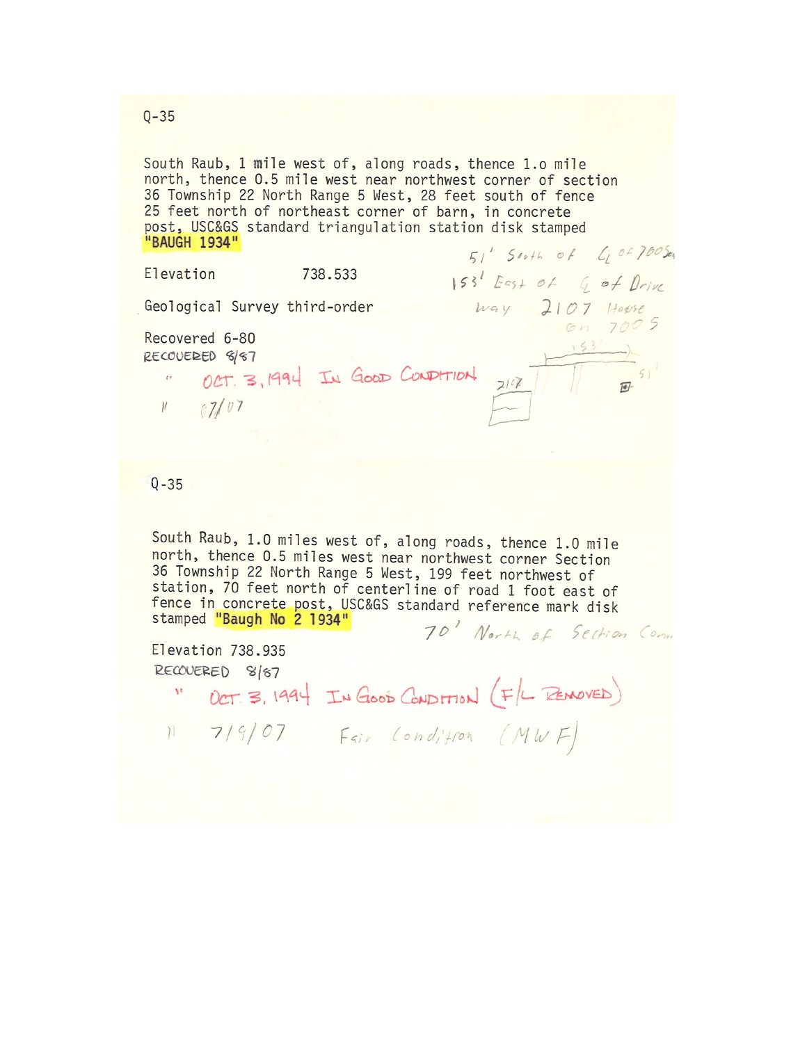South Raub, 1 mile west of, along roads, thence 1.0 mile north, thence 0.5 mile west near northwest corner of section 36 Township 22 North Range 5 West, 28 feet south of fence 25 feet north of northeast corner of barn, in concrete post, USC&GS standard triangulation station disk stamped "BAUGH 1934"  $51'$  South of  $4005$ 

Elevation 738.533 153' East of G of Drive Way 2107 House Geological Survey third-order Recovered 6-80 " OCT. 3, 1994 IN GOOD CONDITION 2107 193 RECOVERED 8/87  $V = 07/07$ 

## $Q - 35$

South Raub, 1.0 miles west of, along roads, thence 1.0 mile north, thence 0.5 miles west near northwest corner Section 36 Township 22 North Range 5 West, 199 feet northwest of station, 70 feet north of centerline of road 1 foot east of fence in concrete post, USC&GS standard reference mark disk stamped "Baugh No 2 1934" 70' North of Section Come

Elevation 738.935 RECOVERED 8/87

" OCT 3, 1994 IN GOOD CONDITION (F/L REMOVED)

 $11 719/07$  Fair Condition (MWF)

 $Q - 35$